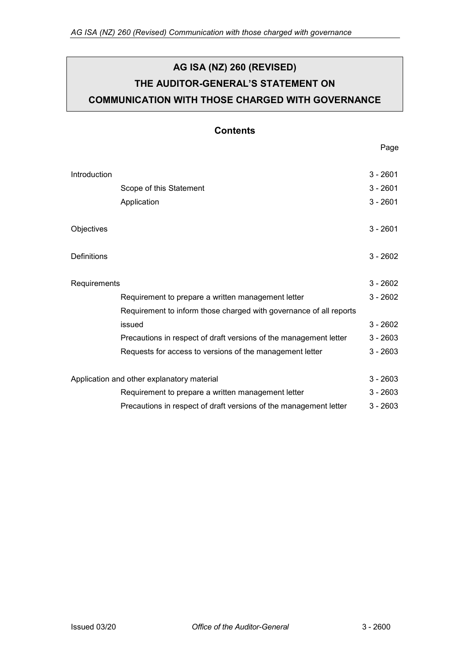# **AG ISA (NZ) 260 (REVISED) THE AUDITOR-GENERAL'S STATEMENT ON COMMUNICATION WITH THOSE CHARGED WITH GOVERNANCE**

# **Contents**

Page

| Introduction                               |                                                                    | $3 - 2601$ |
|--------------------------------------------|--------------------------------------------------------------------|------------|
|                                            | Scope of this Statement                                            | $3 - 2601$ |
|                                            | Application                                                        | $3 - 2601$ |
| Objectives                                 |                                                                    | $3 - 2601$ |
| Definitions                                |                                                                    | $3 - 2602$ |
| Requirements                               |                                                                    | $3 - 2602$ |
|                                            | Requirement to prepare a written management letter                 | $3 - 2602$ |
|                                            | Requirement to inform those charged with governance of all reports |            |
|                                            | issued                                                             | $3 - 2602$ |
|                                            | Precautions in respect of draft versions of the management letter  | $3 - 2603$ |
|                                            | Requests for access to versions of the management letter           | $3 - 2603$ |
| Application and other explanatory material |                                                                    | $3 - 2603$ |
|                                            | Requirement to prepare a written management letter                 | $3 - 2603$ |
|                                            | Precautions in respect of draft versions of the management letter  | $3 - 2603$ |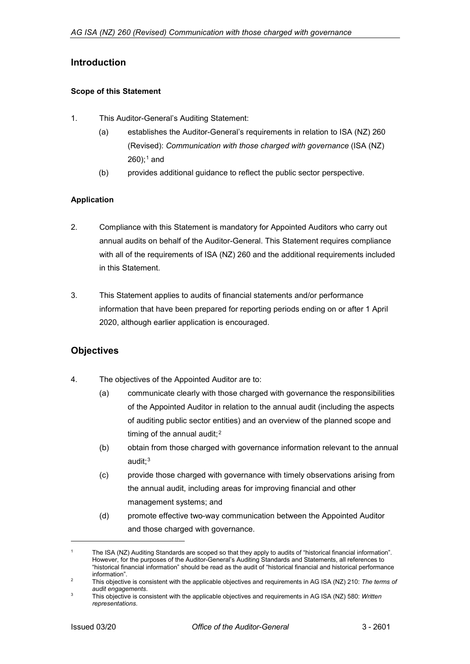## <span id="page-1-0"></span>**Introduction**

#### <span id="page-1-1"></span>**Scope of this Statement**

- 1. This Auditor-General's Auditing Statement:
	- (a) establishes the Auditor-General's requirements in relation to ISA (NZ) 260 (Revised): *Communication with those charged with governance* (ISA (NZ)  $260$ ;<sup>[1](#page-1-4)</sup> and
	- (b) provides additional guidance to reflect the public sector perspective.

### <span id="page-1-2"></span>**Application**

- 2. Compliance with this Statement is mandatory for Appointed Auditors who carry out annual audits on behalf of the Auditor-General. This Statement requires compliance with all of the requirements of ISA (NZ) 260 and the additional requirements included in this Statement.
- 3. This Statement applies to audits of financial statements and/or performance information that have been prepared for reporting periods ending on or after 1 April 2020, although earlier application is encouraged.

## <span id="page-1-3"></span>**Objectives**

- 4. The objectives of the Appointed Auditor are to:
	- (a) communicate clearly with those charged with governance the responsibilities of the Appointed Auditor in relation to the annual audit (including the aspects of auditing public sector entities) and an overview of the planned scope and timing of the annual audit; $<sup>2</sup>$  $<sup>2</sup>$  $<sup>2</sup>$ </sup>
	- (b) obtain from those charged with governance information relevant to the annual audit;[3](#page-1-6)
	- (c) provide those charged with governance with timely observations arising from the annual audit, including areas for improving financial and other management systems; and
	- (d) promote effective two-way communication between the Appointed Auditor and those charged with governance.

j

<span id="page-1-4"></span>The ISA (NZ) Auditing Standards are scoped so that they apply to audits of "historical financial information". However, for the purposes of the Auditor-General's Auditing Standards and Statements, all references to "historical financial information" should be read as the audit of "historical financial and historical performance information".

<span id="page-1-5"></span><sup>2</sup> This objective is consistent with the applicable objectives and requirements in AG ISA (NZ) 210: *The terms of audit engagements*.

<span id="page-1-6"></span><sup>3</sup> This objective is consistent with the applicable objectives and requirements in AG ISA (NZ) 580: *Written representations*.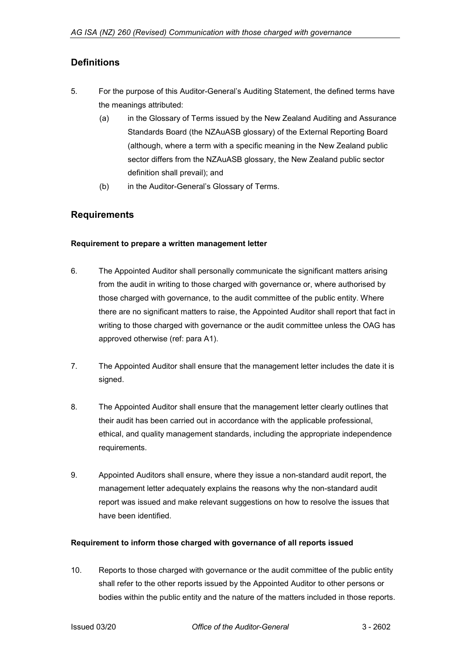# <span id="page-2-0"></span>**Definitions**

- 5. For the purpose of this Auditor-General's Auditing Statement, the defined terms have the meanings attributed:
	- (a) in the Glossary of Terms issued by the New Zealand Auditing and Assurance Standards Board (the NZAuASB glossary) of the External Reporting Board (although, where a term with a specific meaning in the New Zealand public sector differs from the NZAuASB glossary, the New Zealand public sector definition shall prevail); and
	- (b) in the Auditor-General's Glossary of Terms.

## <span id="page-2-1"></span>**Requirements**

#### <span id="page-2-2"></span>**Requirement to prepare a written management letter**

- 6. The Appointed Auditor shall personally communicate the significant matters arising from the audit in writing to those charged with governance or, where authorised by those charged with governance, to the audit committee of the public entity. Where there are no significant matters to raise, the Appointed Auditor shall report that fact in writing to those charged with governance or the audit committee unless the OAG has approved otherwise (ref: para A1).
- 7. The Appointed Auditor shall ensure that the management letter includes the date it is signed.
- 8. The Appointed Auditor shall ensure that the management letter clearly outlines that their audit has been carried out in accordance with the applicable professional, ethical, and quality management standards, including the appropriate independence requirements.
- 9. Appointed Auditors shall ensure, where they issue a non-standard audit report, the management letter adequately explains the reasons why the non-standard audit report was issued and make relevant suggestions on how to resolve the issues that have been identified.

#### <span id="page-2-3"></span>**Requirement to inform those charged with governance of all reports issued**

10. Reports to those charged with governance or the audit committee of the public entity shall refer to the other reports issued by the Appointed Auditor to other persons or bodies within the public entity and the nature of the matters included in those reports.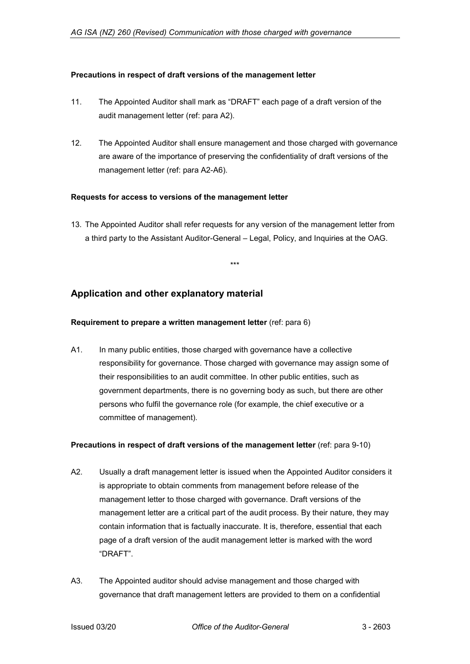#### <span id="page-3-0"></span>**Precautions in respect of draft versions of the management letter**

- 11. The Appointed Auditor shall mark as "DRAFT" each page of a draft version of the audit management letter (ref: para A2).
- 12. The Appointed Auditor shall ensure management and those charged with governance are aware of the importance of preserving the confidentiality of draft versions of the management letter (ref: para A2-A6).

#### <span id="page-3-1"></span>**Requests for access to versions of the management letter**

13. The Appointed Auditor shall refer requests for any version of the management letter from a third party to the Assistant Auditor-General – Legal, Policy, and Inquiries at the OAG.

\*\*\*

## <span id="page-3-2"></span>**Application and other explanatory material**

#### <span id="page-3-3"></span>**Requirement to prepare a written management letter** (ref: para 6)

A1. In many public entities, those charged with governance have a collective responsibility for governance. Those charged with governance may assign some of their responsibilities to an audit committee. In other public entities, such as government departments, there is no governing body as such, but there are other persons who fulfil the governance role (for example, the chief executive or a committee of management).

#### <span id="page-3-4"></span>**Precautions in respect of draft versions of the management letter** (ref: para 9-10)

- A2. Usually a draft management letter is issued when the Appointed Auditor considers it is appropriate to obtain comments from management before release of the management letter to those charged with governance. Draft versions of the management letter are a critical part of the audit process. By their nature, they may contain information that is factually inaccurate. It is, therefore, essential that each page of a draft version of the audit management letter is marked with the word "DRAFT".
- A3. The Appointed auditor should advise management and those charged with governance that draft management letters are provided to them on a confidential